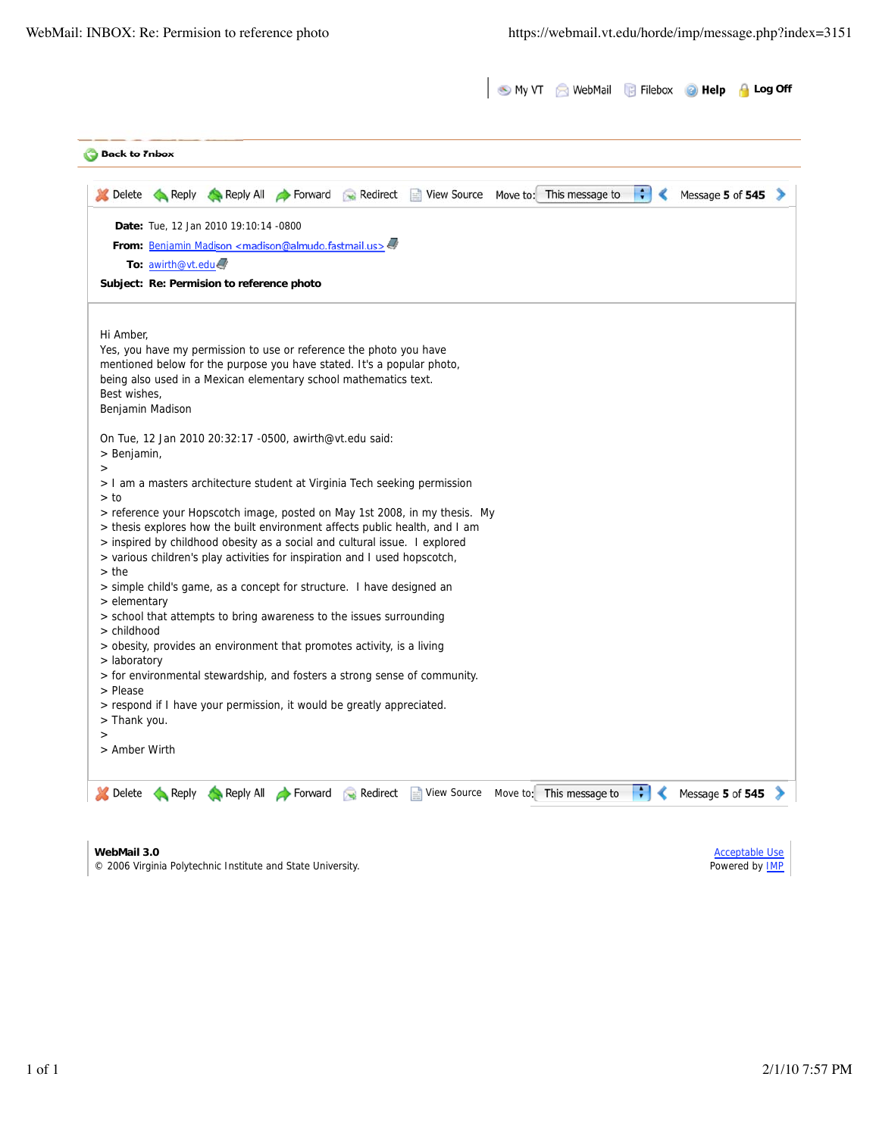| <b>Back to Inbox</b>      |                                           |                                                                                                                                                   |                                                                                                                                            |                                                                             |  |   |                  |  |
|---------------------------|-------------------------------------------|---------------------------------------------------------------------------------------------------------------------------------------------------|--------------------------------------------------------------------------------------------------------------------------------------------|-----------------------------------------------------------------------------|--|---|------------------|--|
| <b>Delete</b>             |                                           |                                                                                                                                                   |                                                                                                                                            | Reply Reply All Forward Redirect View Source Move to: This message to       |  | ÷ | Message 5 of 545 |  |
|                           | Date: Tue, 12 Jan 2010 19:10:14 -0800     |                                                                                                                                                   |                                                                                                                                            |                                                                             |  |   |                  |  |
|                           |                                           | From: Benjamin Madison <madison@almudo.fastmail.us><!--</td--><td></td><td></td><td></td><td></td><td></td><td></td></madison@almudo.fastmail.us> |                                                                                                                                            |                                                                             |  |   |                  |  |
|                           | To: awirth@vt.edu                         |                                                                                                                                                   |                                                                                                                                            |                                                                             |  |   |                  |  |
|                           | Subject: Re: Permision to reference photo |                                                                                                                                                   |                                                                                                                                            |                                                                             |  |   |                  |  |
| Hi Amber,                 |                                           |                                                                                                                                                   |                                                                                                                                            |                                                                             |  |   |                  |  |
|                           |                                           |                                                                                                                                                   | Yes, you have my permission to use or reference the photo you have                                                                         |                                                                             |  |   |                  |  |
|                           |                                           |                                                                                                                                                   | mentioned below for the purpose you have stated. It's a popular photo,<br>being also used in a Mexican elementary school mathematics text. |                                                                             |  |   |                  |  |
| Best wishes,              |                                           |                                                                                                                                                   |                                                                                                                                            |                                                                             |  |   |                  |  |
|                           | Benjamin Madison                          |                                                                                                                                                   |                                                                                                                                            |                                                                             |  |   |                  |  |
|                           |                                           | On Tue, 12 Jan 2010 20:32:17 -0500, awirth@vt.edu said:                                                                                           |                                                                                                                                            |                                                                             |  |   |                  |  |
| > Benjamin,               |                                           |                                                                                                                                                   |                                                                                                                                            |                                                                             |  |   |                  |  |
| >                         |                                           |                                                                                                                                                   |                                                                                                                                            | > I am a masters architecture student at Virginia Tech seeking permission   |  |   |                  |  |
| > to                      |                                           |                                                                                                                                                   |                                                                                                                                            |                                                                             |  |   |                  |  |
|                           |                                           |                                                                                                                                                   |                                                                                                                                            | > reference your Hopscotch image, posted on May 1st 2008, in my thesis. My  |  |   |                  |  |
|                           |                                           |                                                                                                                                                   | > inspired by childhood obesity as a social and cultural issue. I explored                                                                 | > thesis explores how the built environment affects public health, and I am |  |   |                  |  |
|                           |                                           |                                                                                                                                                   | > various children's play activities for inspiration and I used hopscotch,                                                                 |                                                                             |  |   |                  |  |
| $>$ the                   |                                           |                                                                                                                                                   | > simple child's game, as a concept for structure. I have designed an                                                                      |                                                                             |  |   |                  |  |
| > elementary              |                                           |                                                                                                                                                   |                                                                                                                                            |                                                                             |  |   |                  |  |
|                           |                                           |                                                                                                                                                   | > school that attempts to bring awareness to the issues surrounding                                                                        |                                                                             |  |   |                  |  |
| > childhood               |                                           |                                                                                                                                                   | > obesity, provides an environment that promotes activity, is a living                                                                     |                                                                             |  |   |                  |  |
| > laboratory              |                                           |                                                                                                                                                   |                                                                                                                                            |                                                                             |  |   |                  |  |
|                           |                                           |                                                                                                                                                   |                                                                                                                                            | > for environmental stewardship, and fosters a strong sense of community.   |  |   |                  |  |
| > Please                  |                                           |                                                                                                                                                   | > respond if I have your permission, it would be greatly appreciated.                                                                      |                                                                             |  |   |                  |  |
| Thank you.                |                                           |                                                                                                                                                   |                                                                                                                                            |                                                                             |  |   |                  |  |
| $\rm{>}$<br>> Amber Wirth |                                           |                                                                                                                                                   |                                                                                                                                            |                                                                             |  |   |                  |  |
|                           |                                           |                                                                                                                                                   |                                                                                                                                            |                                                                             |  |   |                  |  |

**WebMail 3.0** © 2006 Virginia Polytechnic Institute and State University.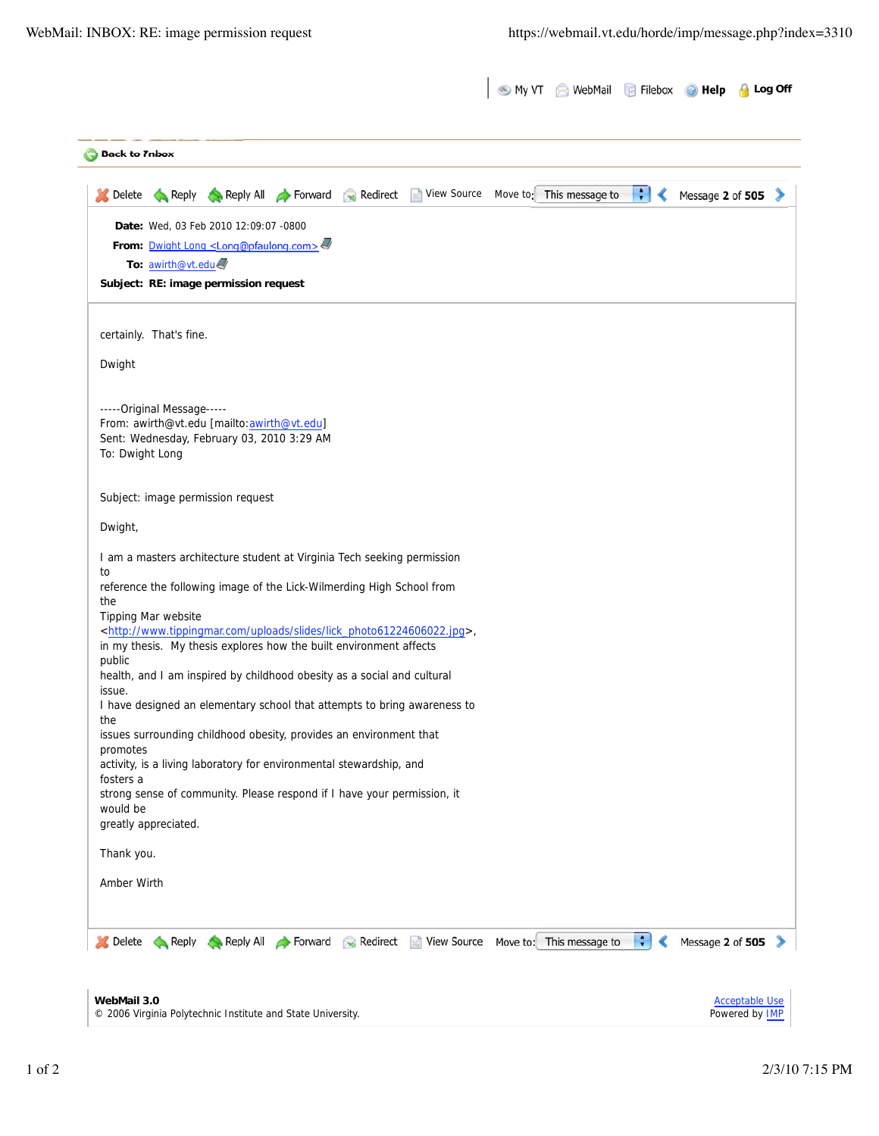| <b>Back to Tnbox</b> |                            |                                                                                          |  |                                                                                          |  |         |                       |  |
|----------------------|----------------------------|------------------------------------------------------------------------------------------|--|------------------------------------------------------------------------------------------|--|---------|-----------------------|--|
| <b>Delete</b>        |                            | Reply Reply All Forward Redirect                                                         |  | View Source Move to: This message to                                                     |  | ÷۱<br>∢ | Message 2 of 505      |  |
|                      |                            | Date: Wed, 03 Feb 2010 12:09:07 -0800                                                    |  |                                                                                          |  |         |                       |  |
|                      |                            | From: Dwight Long <long@pfaulong.com></long@pfaulong.com>                                |  |                                                                                          |  |         |                       |  |
|                      | To: awirth@vt.edu          | Subject: RE: image permission request                                                    |  |                                                                                          |  |         |                       |  |
|                      |                            |                                                                                          |  |                                                                                          |  |         |                       |  |
|                      | certainly. That's fine.    |                                                                                          |  |                                                                                          |  |         |                       |  |
| Dwight               |                            |                                                                                          |  |                                                                                          |  |         |                       |  |
|                      | -----Original Message----- |                                                                                          |  |                                                                                          |  |         |                       |  |
|                      |                            | From: awirth@vt.edu [mailto:awirth@vt.edu]<br>Sent: Wednesday, February 03, 2010 3:29 AM |  |                                                                                          |  |         |                       |  |
| To: Dwight Long      |                            |                                                                                          |  |                                                                                          |  |         |                       |  |
|                      |                            | Subject: image permission request                                                        |  |                                                                                          |  |         |                       |  |
| Dwight,              |                            |                                                                                          |  |                                                                                          |  |         |                       |  |
|                      |                            | I am a masters architecture student at Virginia Tech seeking permission                  |  |                                                                                          |  |         |                       |  |
| to                   |                            | reference the following image of the Lick-Wilmerding High School from                    |  |                                                                                          |  |         |                       |  |
| the                  | Tipping Mar website        |                                                                                          |  |                                                                                          |  |         |                       |  |
|                      |                            | in my thesis. My thesis explores how the built environment affects                       |  | <http: lick_photo61224606022.jpg="" slides="" uploads="" www.tippingmar.com="">,</http:> |  |         |                       |  |
| public               |                            |                                                                                          |  |                                                                                          |  |         |                       |  |
| issue.               |                            | health, and I am inspired by childhood obesity as a social and cultural                  |  |                                                                                          |  |         |                       |  |
|                      |                            |                                                                                          |  | I have designed an elementary school that attempts to bring awareness to                 |  |         |                       |  |
| the                  |                            | issues surrounding childhood obesity, provides an environment that                       |  |                                                                                          |  |         |                       |  |
| promotes             |                            | activity, is a living laboratory for environmental stewardship, and                      |  |                                                                                          |  |         |                       |  |
| fosters a            |                            |                                                                                          |  |                                                                                          |  |         |                       |  |
| would be             |                            | strong sense of community. Please respond if I have your permission, it                  |  |                                                                                          |  |         |                       |  |
|                      | greatly appreciated.       |                                                                                          |  |                                                                                          |  |         |                       |  |
| Thank you.           |                            |                                                                                          |  |                                                                                          |  |         |                       |  |
| Amber Wirth          |                            |                                                                                          |  |                                                                                          |  |         |                       |  |
|                      |                            |                                                                                          |  |                                                                                          |  |         |                       |  |
|                      |                            |                                                                                          |  | Delete Reply Reply All Forward Redirect View Source Move to: This message to             |  | ÷       | Message 2 of 505      |  |
|                      |                            |                                                                                          |  |                                                                                          |  |         |                       |  |
|                      |                            |                                                                                          |  |                                                                                          |  |         |                       |  |
| WebMail 3.0          |                            |                                                                                          |  |                                                                                          |  |         | <b>Acceptable Use</b> |  |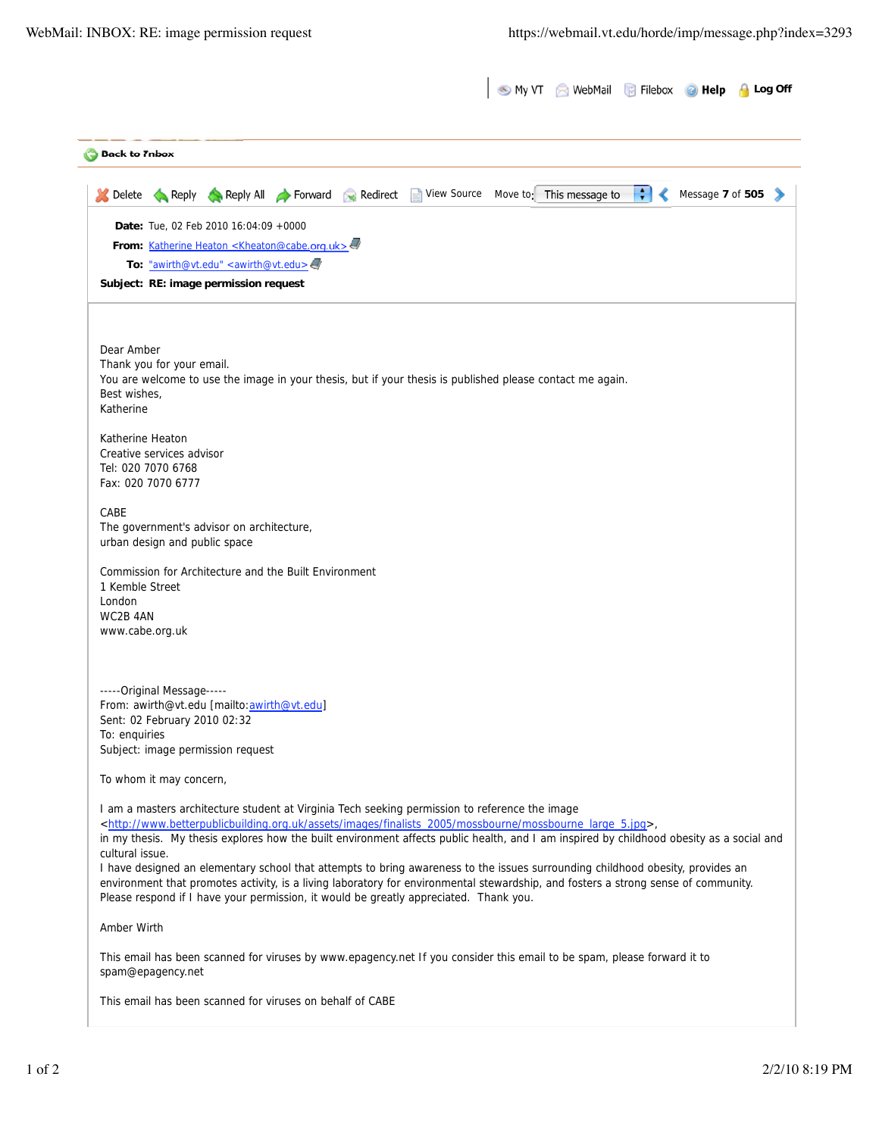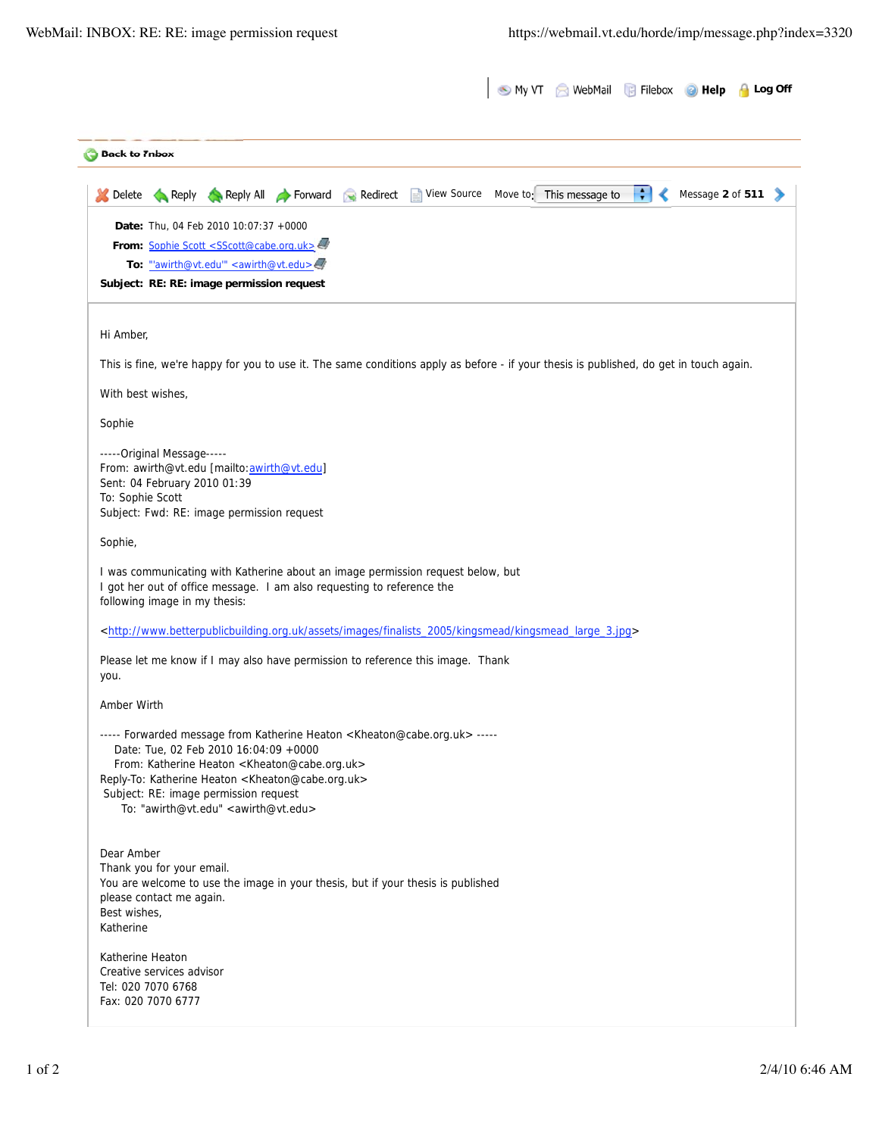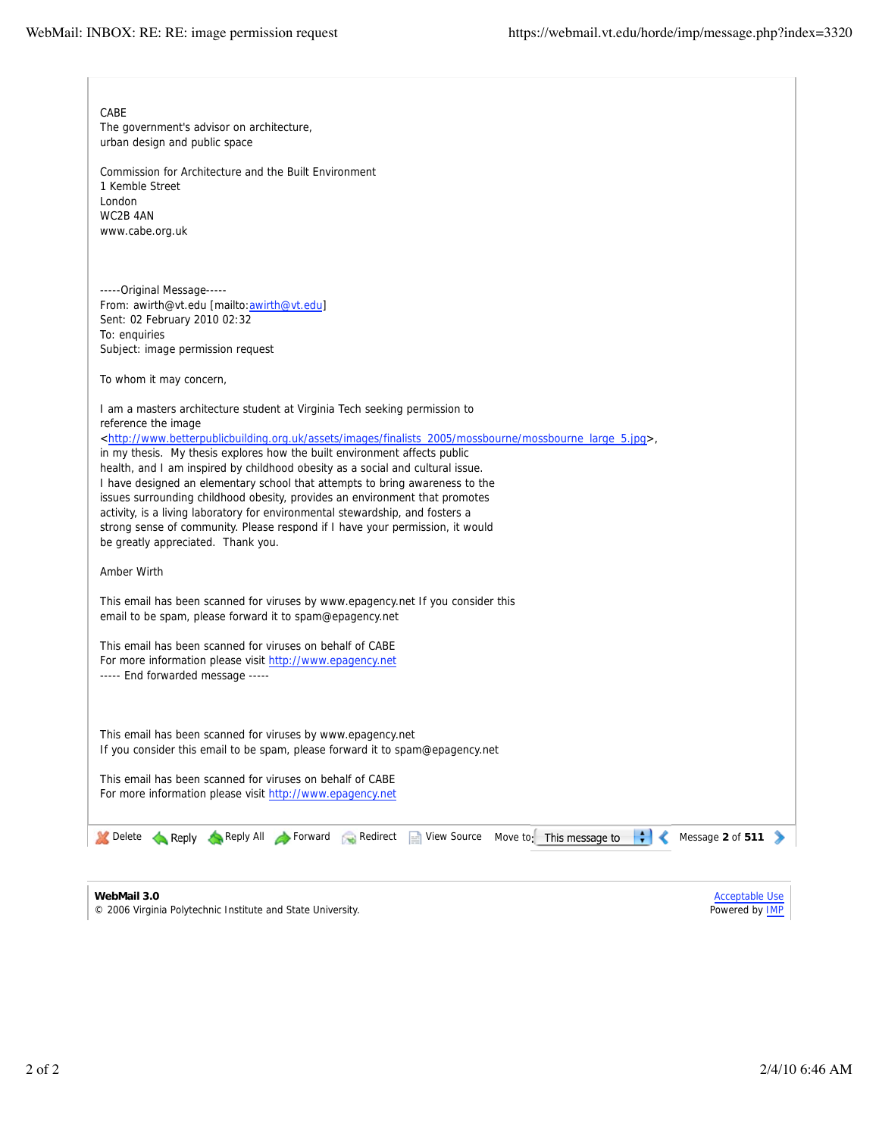| CABE<br>The government's advisor on architecture,<br>urban design and public space<br>Commission for Architecture and the Built Environment<br>1 Kemble Street<br>London<br>WC2B 4AN<br>www.cabe.org.uk                                                                                                                                                                                                                                                                                                                                                                                                                                                                                                                                                                             |                                                |
|-------------------------------------------------------------------------------------------------------------------------------------------------------------------------------------------------------------------------------------------------------------------------------------------------------------------------------------------------------------------------------------------------------------------------------------------------------------------------------------------------------------------------------------------------------------------------------------------------------------------------------------------------------------------------------------------------------------------------------------------------------------------------------------|------------------------------------------------|
| -----Original Message-----<br>From: awirth@vt.edu [mailto:awirth@vt.edu]<br>Sent: 02 February 2010 02:32<br>To: enquiries<br>Subject: image permission request                                                                                                                                                                                                                                                                                                                                                                                                                                                                                                                                                                                                                      |                                                |
| To whom it may concern,                                                                                                                                                                                                                                                                                                                                                                                                                                                                                                                                                                                                                                                                                                                                                             |                                                |
| I am a masters architecture student at Virginia Tech seeking permission to<br>reference the image<br><http: assets="" finalists_2005="" images="" mossbourne="" mossbourne_large_5.jpg="" www.betterpublicbuilding.org.uk="">,<br/>in my thesis. My thesis explores how the built environment affects public<br/>health, and I am inspired by childhood obesity as a social and cultural issue.<br/>I have designed an elementary school that attempts to bring awareness to the<br/>issues surrounding childhood obesity, provides an environment that promotes<br/>activity, is a living laboratory for environmental stewardship, and fosters a<br/>strong sense of community. Please respond if I have your permission, it would<br/>be greatly appreciated. Thank you.</http:> |                                                |
| Amber Wirth                                                                                                                                                                                                                                                                                                                                                                                                                                                                                                                                                                                                                                                                                                                                                                         |                                                |
| This email has been scanned for viruses by www.epagency.net If you consider this<br>email to be spam, please forward it to spam@epagency.net                                                                                                                                                                                                                                                                                                                                                                                                                                                                                                                                                                                                                                        |                                                |
| This email has been scanned for viruses on behalf of CABE<br>For more information please visit http://www.epagency.net<br>----- End forwarded message -----                                                                                                                                                                                                                                                                                                                                                                                                                                                                                                                                                                                                                         |                                                |
| This email has been scanned for viruses by www.epagency.net<br>If you consider this email to be spam, please forward it to spam@epagency.net                                                                                                                                                                                                                                                                                                                                                                                                                                                                                                                                                                                                                                        |                                                |
| This email has been scanned for viruses on behalf of CABE<br>For more information please visit http://www.epagency.net                                                                                                                                                                                                                                                                                                                                                                                                                                                                                                                                                                                                                                                              |                                                |
| ÷۱<br>Delete Reply Reply All Forward Redirect<br>View Source<br>Move to: This message to                                                                                                                                                                                                                                                                                                                                                                                                                                                                                                                                                                                                                                                                                            | Message 2 of 511                               |
| WebMail 3.0<br>© 2006 Virginia Polytechnic Institute and State University.                                                                                                                                                                                                                                                                                                                                                                                                                                                                                                                                                                                                                                                                                                          | <b>Acceptable Use</b><br>Powered by <b>IMP</b> |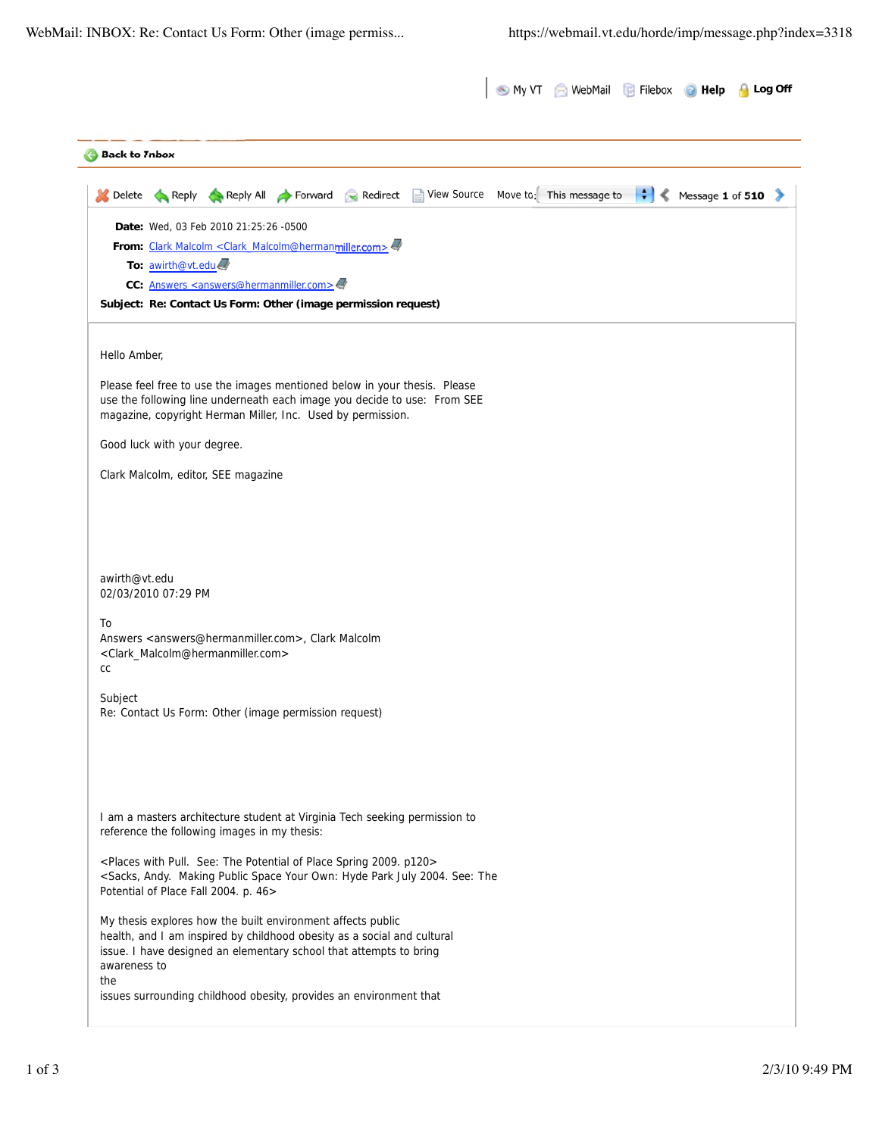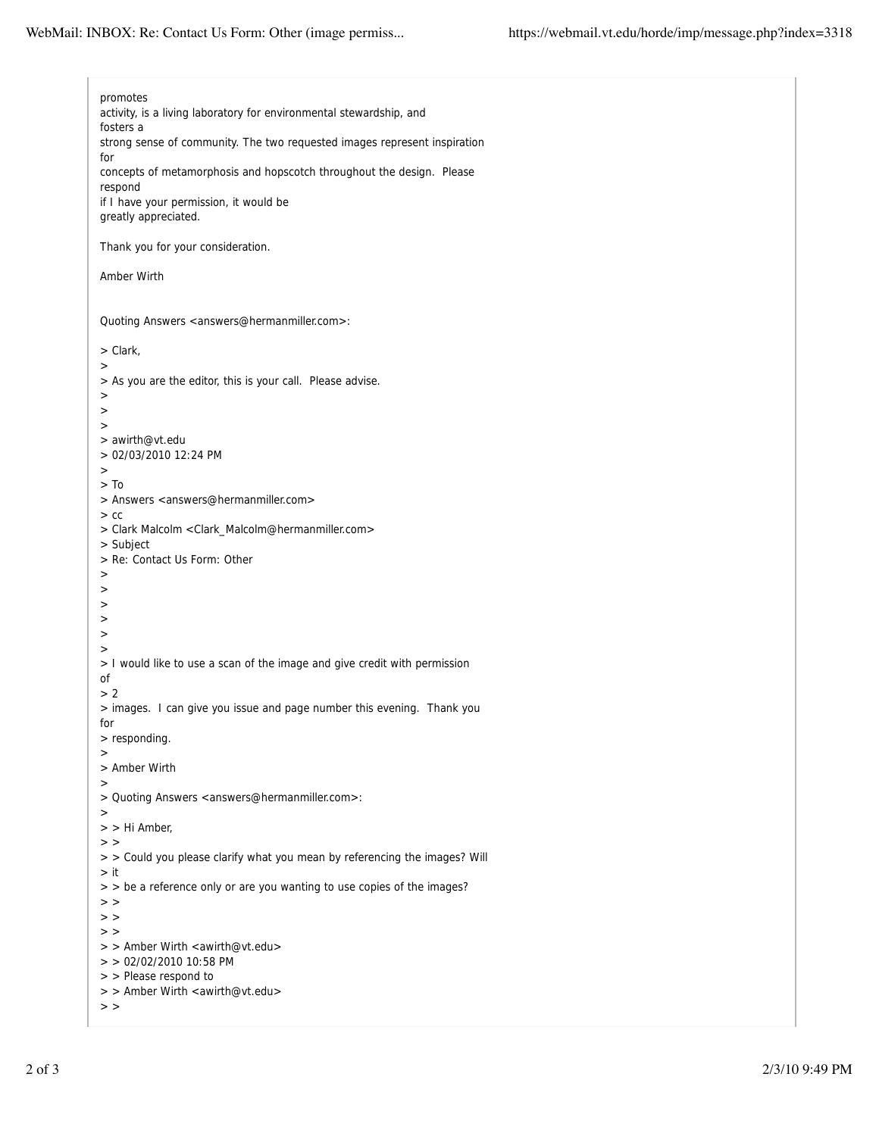promotes activity, is a living laboratory for environmental stewardship, and fosters a strong sense of community. The two requested images represent inspiration for concepts of metamorphosis and hopscotch throughout the design. Please respond if I have your permission, it would be greatly appreciated. Thank you for your consideration. Amber Wirth Quoting Answers <answers@hermanmiller.com>: > Clark, > > As you are the editor, this is your call. Please advise. > >  $\rightarrow$ > awirth@vt.edu > 02/03/2010 12:24 PM > > To > Answers <answers@hermanmiller.com>  $>$  cc > Clark Malcolm <Clark\_Malcolm@hermanmiller.com> > Subject > Re: Contact Us Form: Other > > > > > > > I would like to use a scan of the image and give credit with permission of > 2 > images. I can give you issue and page number this evening. Thank you for > responding. > > Amber Wirth > > Quoting Answers <answers@hermanmiller.com>: > > > Hi Amber,  $>$   $>$ > > Could you please clarify what you mean by referencing the images? Will > it > > be a reference only or are you wanting to use copies of the images?  $>$   $>$  $>$   $>$  $>$   $>$ > > Amber Wirth <awirth@vt.edu> > > 02/02/2010 10:58 PM > > Please respond to > > Amber Wirth <awirth@vt.edu>  $>$   $>$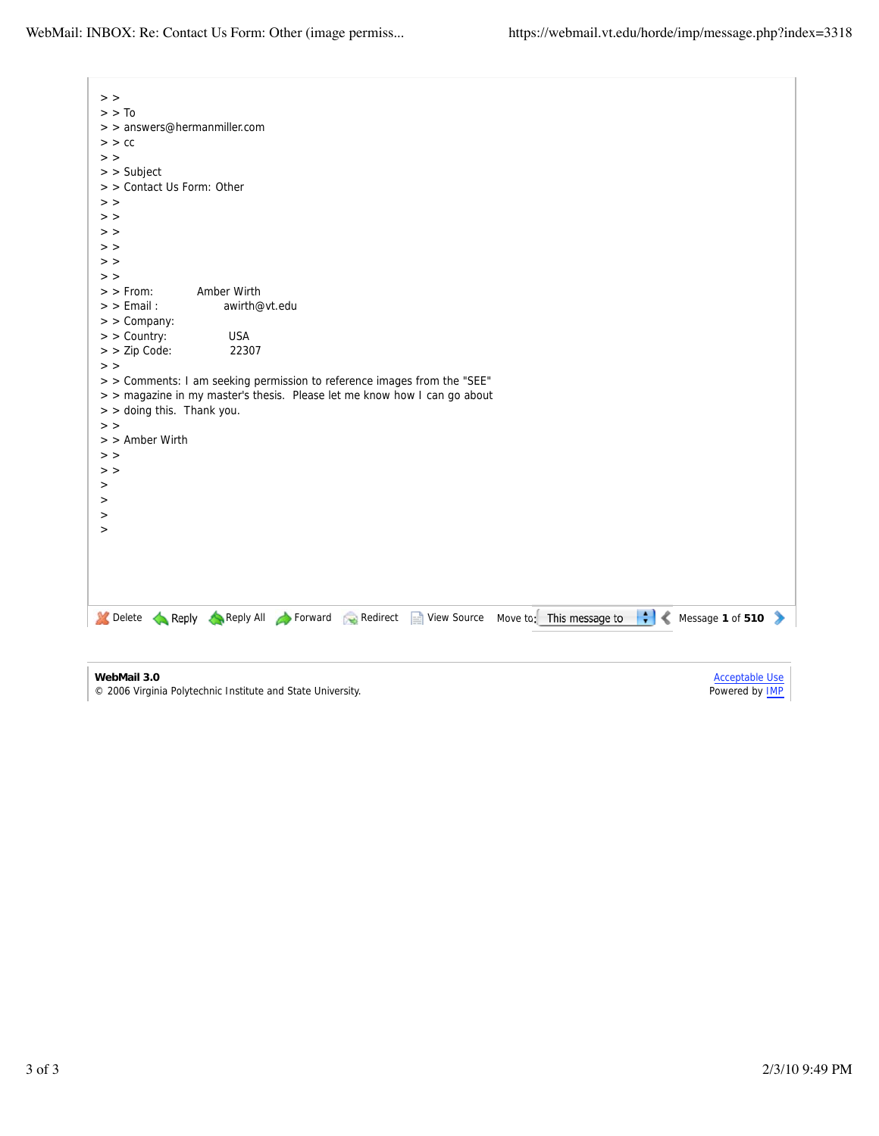$\overline{\phantom{a}}$ 

| $>$ >                                                                                                                   |
|-------------------------------------------------------------------------------------------------------------------------|
| $>$ $>$ To                                                                                                              |
| > > answers@hermanmiller.com                                                                                            |
| $>$ $>$ $cc$                                                                                                            |
| $>$ >                                                                                                                   |
| $>$ Subject                                                                                                             |
| > > Contact Us Form: Other                                                                                              |
| $>$ $>$                                                                                                                 |
| $>$ $>$                                                                                                                 |
| $>$ $>$                                                                                                                 |
| $>$ $>$                                                                                                                 |
| $>$ $>$                                                                                                                 |
| $>$ $>$                                                                                                                 |
| Amber Wirth<br>$>$ From:                                                                                                |
| $>$ $>$ Email :<br>awirth@vt.edu                                                                                        |
| $>$ > Company:                                                                                                          |
| $>$ $>$ Country:<br><b>USA</b>                                                                                          |
| > > Zip Code:<br>22307                                                                                                  |
| $>$ $>$                                                                                                                 |
| > > Comments: I am seeking permission to reference images from the "SEE"                                                |
| > > magazine in my master's thesis. Please let me know how I can go about                                               |
| > > doing this. Thank you.                                                                                              |
| $>$ $>$                                                                                                                 |
| > > Amber Wirth                                                                                                         |
| $>$ $>$                                                                                                                 |
| $>$ $>$                                                                                                                 |
|                                                                                                                         |
| >                                                                                                                       |
| $\rm{~}$                                                                                                                |
| $\, > \,$                                                                                                               |
| $\rm{~}$                                                                                                                |
|                                                                                                                         |
|                                                                                                                         |
|                                                                                                                         |
|                                                                                                                         |
| $\div$<br>Message 1 of 510<br>Delete Reply Reply All Forward Redirect<br>View Source Move to: This message to<br>∢<br>⋗ |
|                                                                                                                         |
|                                                                                                                         |
|                                                                                                                         |

**WebMail 3.0**

© 2006 Virginia Polytechnic Institute and State University.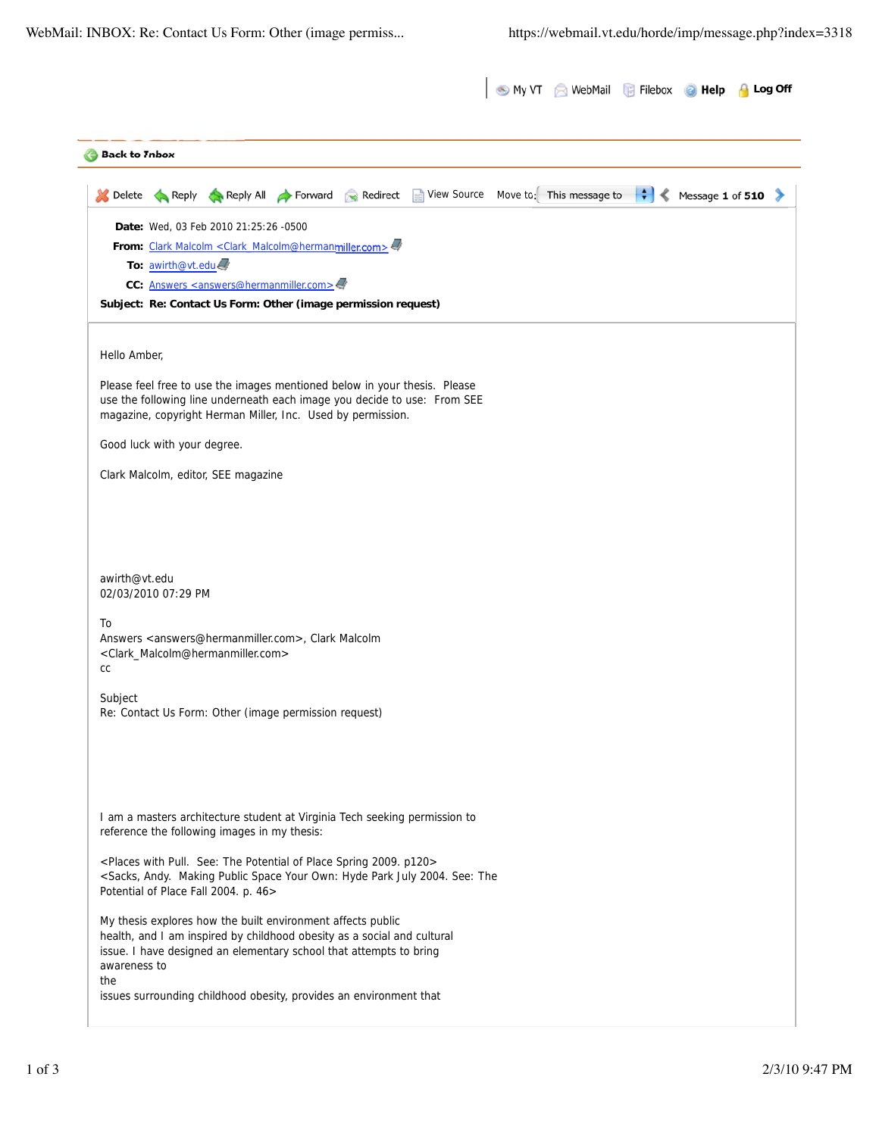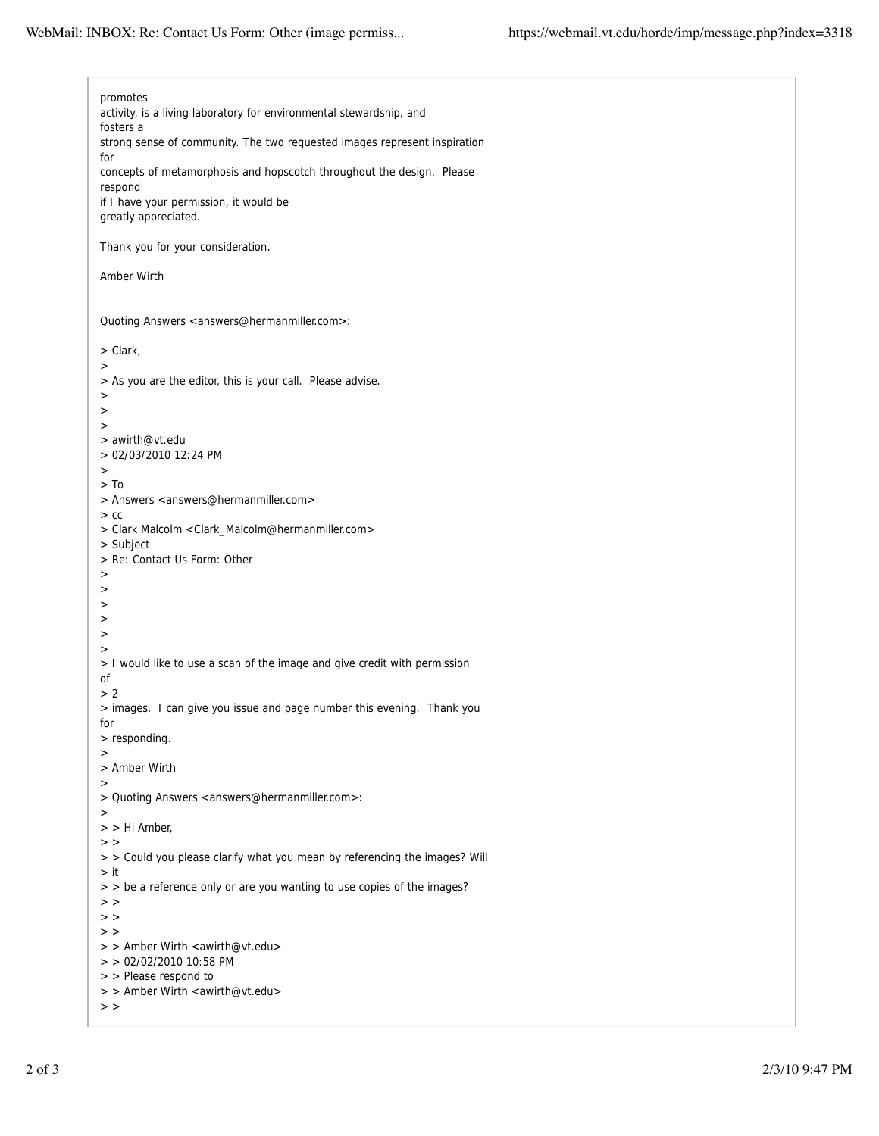promotes activity, is a living laboratory for environmental stewardship, and fosters a strong sense of community. The two requested images represent inspiration for concepts of metamorphosis and hopscotch throughout the design. Please respond if I have your permission, it would be greatly appreciated. Thank you for your consideration. Amber Wirth Quoting Answers <answers@hermanmiller.com>: > Clark, > > As you are the editor, this is your call. Please advise. > >  $\rightarrow$ > awirth@vt.edu > 02/03/2010 12:24 PM > > To > Answers <answers@hermanmiller.com>  $>$  cc > Clark Malcolm <Clark\_Malcolm@hermanmiller.com> > Subject > Re: Contact Us Form: Other > > > > > > > I would like to use a scan of the image and give credit with permission of > 2 > images. I can give you issue and page number this evening. Thank you for > responding. > > Amber Wirth > > Quoting Answers <answers@hermanmiller.com>: > > > Hi Amber,  $>$   $>$ > > Could you please clarify what you mean by referencing the images? Will > it  $>$   $>$  be a reference only or are you wanting to use copies of the images?  $>$   $>$  $>$   $>$  $>$   $>$ > > Amber Wirth <awirth@vt.edu> > > 02/02/2010 10:58 PM > > Please respond to > > Amber Wirth <awirth@vt.edu>  $>$   $>$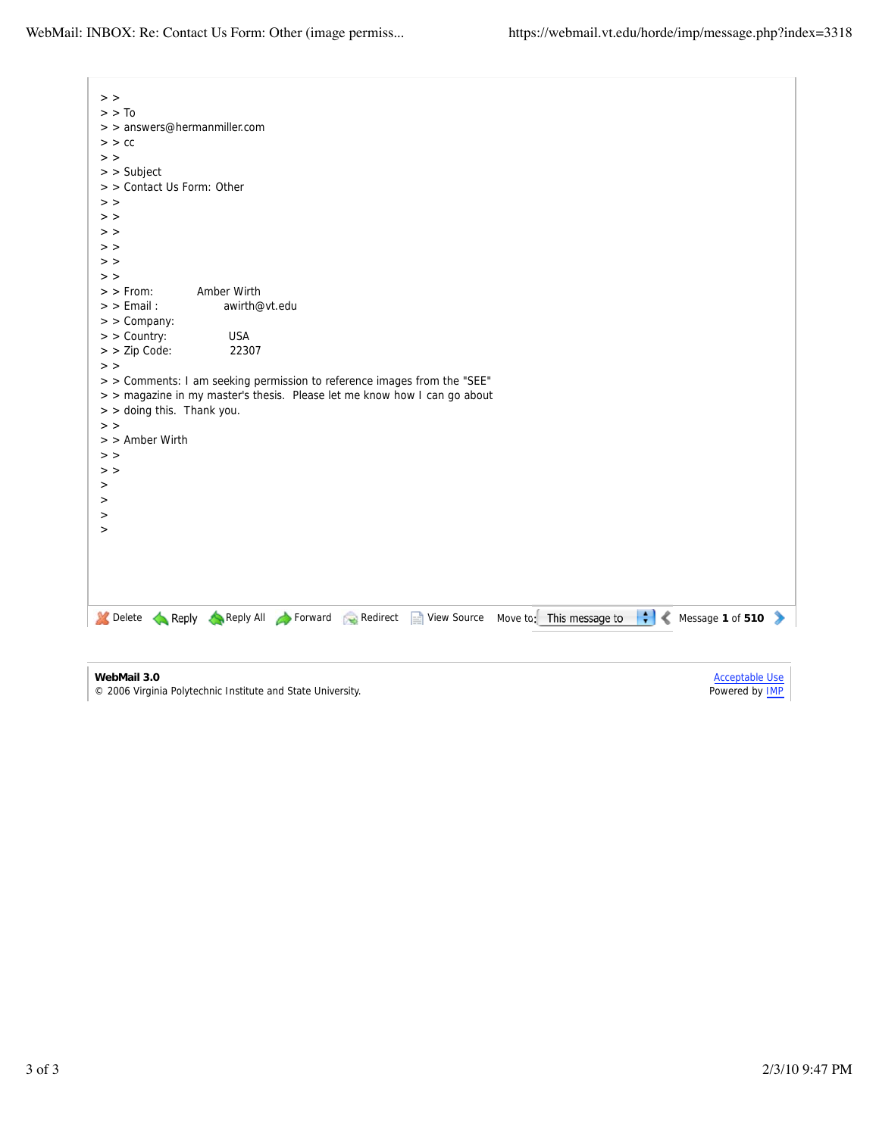$\overline{\phantom{a}}$ 

| $>$ $>$                      |                                                                                                                             |
|------------------------------|-----------------------------------------------------------------------------------------------------------------------------|
| $>$ $>$ To                   |                                                                                                                             |
| > > answers@hermanmiller.com |                                                                                                                             |
| $>$ $>$ $cc$                 |                                                                                                                             |
| $>$ $>$                      |                                                                                                                             |
| $>$ Subject                  |                                                                                                                             |
| > > Contact Us Form: Other   |                                                                                                                             |
| $>$ $>$                      |                                                                                                                             |
| $>$ $>$                      |                                                                                                                             |
| $>$ $>$                      |                                                                                                                             |
| $>$ $>$                      |                                                                                                                             |
| $>$ $>$                      |                                                                                                                             |
| $>$ $>$                      |                                                                                                                             |
| $>$ From:                    | Amber Wirth                                                                                                                 |
| $>$ $>$ Email :              | awirth@vt.edu                                                                                                               |
| $>$ > Company:               |                                                                                                                             |
| > > Country:                 | <b>USA</b>                                                                                                                  |
| > > Zip Code:                | 22307                                                                                                                       |
| $>$ >                        |                                                                                                                             |
|                              | > > Comments: I am seeking permission to reference images from the "SEE"                                                    |
|                              | > > magazine in my master's thesis. Please let me know how I can go about                                                   |
| > > doing this. Thank you.   |                                                                                                                             |
| $>$ $>$                      |                                                                                                                             |
| $>$ Amber Wirth              |                                                                                                                             |
| $>$ $>$                      |                                                                                                                             |
| $>$ $>$                      |                                                                                                                             |
| $\rm{~}$                     |                                                                                                                             |
| $\geq$                       |                                                                                                                             |
| $\rm{~}$                     |                                                                                                                             |
| $\rm{~}$                     |                                                                                                                             |
|                              |                                                                                                                             |
|                              |                                                                                                                             |
|                              |                                                                                                                             |
|                              |                                                                                                                             |
|                              |                                                                                                                             |
|                              | $\ddot{r}$<br>Delete Reply Reply All Forward Redirect<br>View Source Move to: This message to<br>Message 1 of 510<br>∢<br>⋗ |
|                              |                                                                                                                             |
|                              |                                                                                                                             |
|                              |                                                                                                                             |

**WebMail 3.0**

© 2006 Virginia Polytechnic Institute and State University.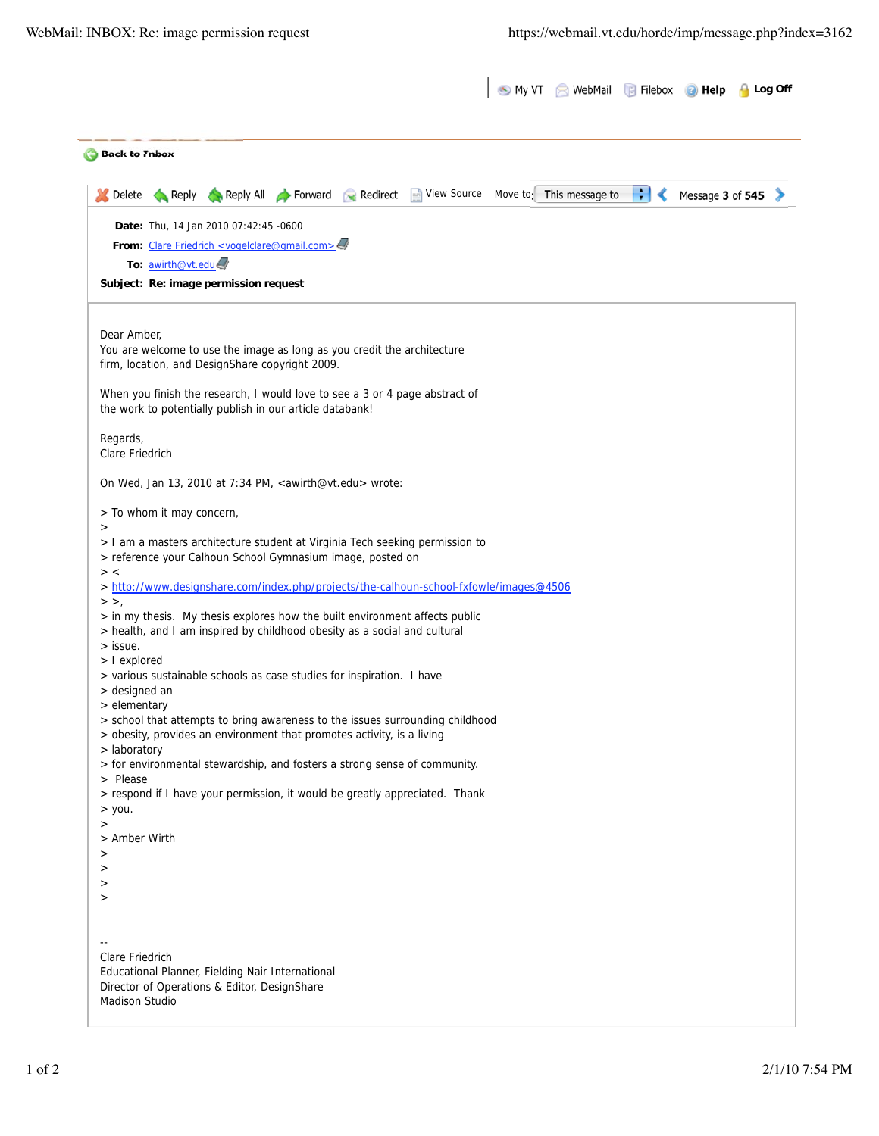| <b>Back to Inbox</b>                                                                                                                                                 |  |   |                  |  |
|----------------------------------------------------------------------------------------------------------------------------------------------------------------------|--|---|------------------|--|
| Reply Reply All Forward Redirect View Source Move to: This message to<br>Delete                                                                                      |  | ÷ | Message 3 of 545 |  |
| Date: Thu, 14 Jan 2010 07:42:45 -0600                                                                                                                                |  |   |                  |  |
| From: Clare Friedrich <vogelclare@gmail.com><!--</td--><td></td><td></td><td></td><td></td></vogelclare@gmail.com>                                                   |  |   |                  |  |
| To: awirth@vt.edu                                                                                                                                                    |  |   |                  |  |
| Subject: Re: image permission request                                                                                                                                |  |   |                  |  |
| Dear Amber,                                                                                                                                                          |  |   |                  |  |
| You are welcome to use the image as long as you credit the architecture<br>firm, location, and DesignShare copyright 2009.                                           |  |   |                  |  |
| When you finish the research, I would love to see a 3 or 4 page abstract of<br>the work to potentially publish in our article databank!                              |  |   |                  |  |
| Regards,<br>Clare Friedrich                                                                                                                                          |  |   |                  |  |
| On Wed, Jan 13, 2010 at 7:34 PM, <awirth@vt.edu> wrote:</awirth@vt.edu>                                                                                              |  |   |                  |  |
| > To whom it may concern,<br>>                                                                                                                                       |  |   |                  |  |
| > I am a masters architecture student at Virginia Tech seeking permission to<br>> reference your Calhoun School Gymnasium image, posted on                           |  |   |                  |  |
| $>$ <<br>> http://www.designshare.com/index.php/projects/the-calhoun-school-fxfowle/images@4506<br>$>$ $>$ ,                                                         |  |   |                  |  |
| > in my thesis. My thesis explores how the built environment affects public<br>> health, and I am inspired by childhood obesity as a social and cultural<br>> issue. |  |   |                  |  |
| > I explored                                                                                                                                                         |  |   |                  |  |
| > various sustainable schools as case studies for inspiration. I have                                                                                                |  |   |                  |  |
| > designed an<br>> elementary                                                                                                                                        |  |   |                  |  |
| > school that attempts to bring awareness to the issues surrounding childhood<br>> obesity, provides an environment that promotes activity, is a living              |  |   |                  |  |
| > laboratory<br>> for environmental stewardship, and fosters a strong sense of community.<br>> Please                                                                |  |   |                  |  |
| > respond if I have your permission, it would be greatly appreciated. Thank<br>$>$ you.                                                                              |  |   |                  |  |
| $\rm{~}$<br>> Amber Wirth<br>>                                                                                                                                       |  |   |                  |  |
| >                                                                                                                                                                    |  |   |                  |  |
| ><br>>                                                                                                                                                               |  |   |                  |  |
|                                                                                                                                                                      |  |   |                  |  |
| Clare Friedrich                                                                                                                                                      |  |   |                  |  |
| Educational Planner, Fielding Nair International<br>Director of Operations & Editor, DesignShare                                                                     |  |   |                  |  |
| <b>Madison Studio</b>                                                                                                                                                |  |   |                  |  |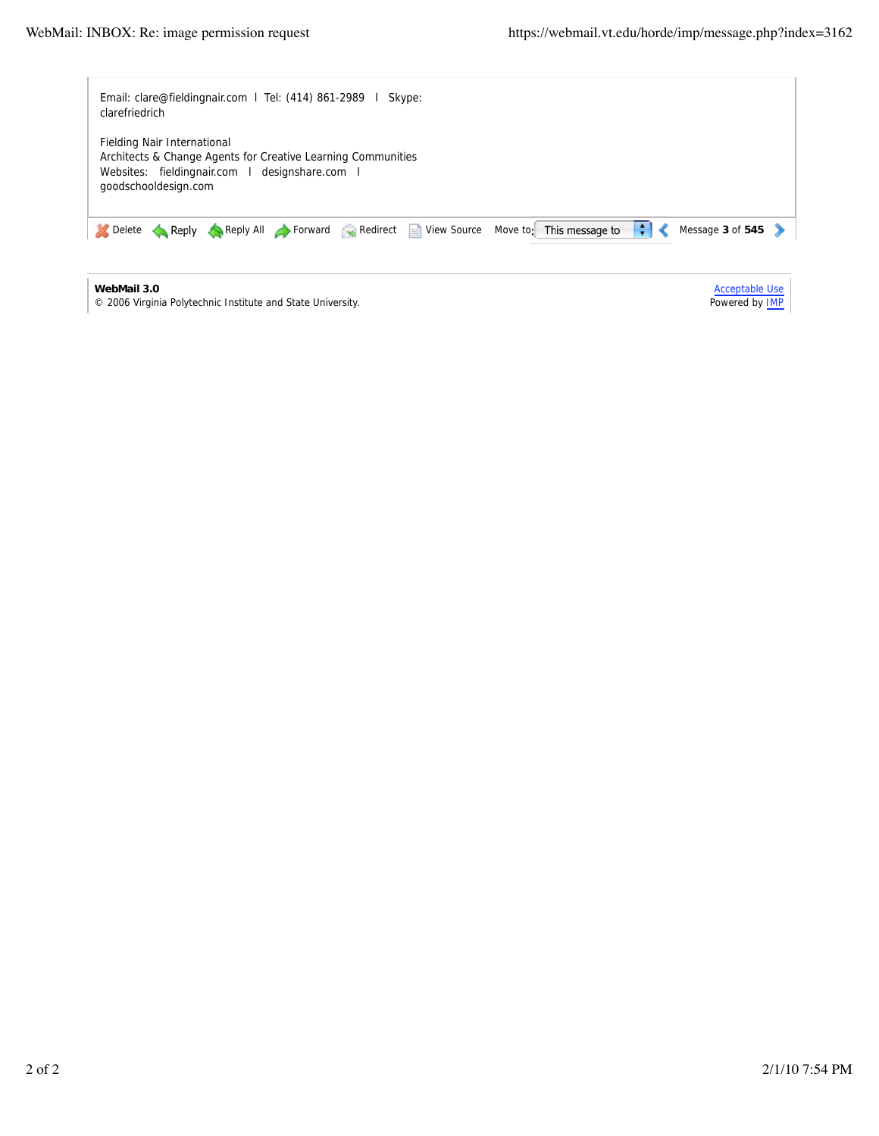y.

L,

| Email: clare@fieldingnair.com   Tel: (414) 861-2989  <br>Skype:<br>clarefriedrich                                                                                     |                                                |
|-----------------------------------------------------------------------------------------------------------------------------------------------------------------------|------------------------------------------------|
| Fielding Nair International<br>Architects & Change Agents for Creative Learning Communities<br>Websites: fieldingnair.com   designshare.com  <br>goodschooldesign.com |                                                |
| ÷<br>Reply Reply All Forward Redirect View Source<br>Move to: This message to<br>Delete                                                                               | Message $3$ of $545$                           |
| WebMail 3.0<br>© 2006 Virginia Polytechnic Institute and State University.                                                                                            | <b>Acceptable Use</b><br>Powered by <b>IMP</b> |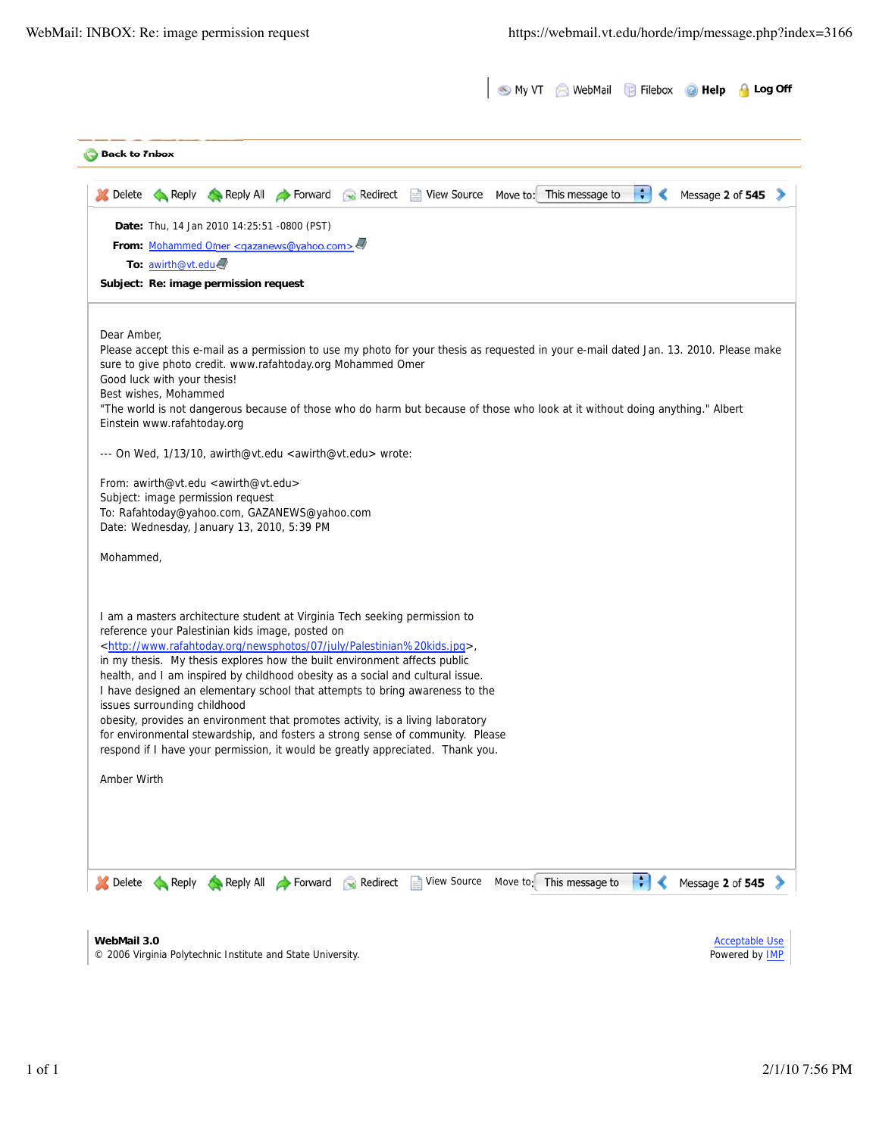| <b>Back to Tnbox</b> |                                                      |                                                                                                                                |                   |          |                                                                                                                                                                  |                          |                     |                                                                                                                                        |
|----------------------|------------------------------------------------------|--------------------------------------------------------------------------------------------------------------------------------|-------------------|----------|------------------------------------------------------------------------------------------------------------------------------------------------------------------|--------------------------|---------------------|----------------------------------------------------------------------------------------------------------------------------------------|
|                      |                                                      |                                                                                                                                |                   |          | Delete Reply Reply All Forward Redirect View Source Move to: This message to                                                                                     |                          | $\ddot{\cdot}$<br>∢ | Message 2 of 545                                                                                                                       |
|                      |                                                      | Date: Thu, 14 Jan 2010 14:25:51 -0800 (PST)                                                                                    |                   |          |                                                                                                                                                                  |                          |                     |                                                                                                                                        |
|                      |                                                      | From: Mohammed Omer <gazanews@yahoo.com><!--</td--><td></td><td></td><td></td><td></td><td></td><td></td></gazanews@yahoo.com> |                   |          |                                                                                                                                                                  |                          |                     |                                                                                                                                        |
|                      | To: awirth@vt.edu                                    |                                                                                                                                |                   |          |                                                                                                                                                                  |                          |                     |                                                                                                                                        |
|                      |                                                      | Subject: Re: image permission request                                                                                          |                   |          |                                                                                                                                                                  |                          |                     |                                                                                                                                        |
| Dear Amber,          |                                                      |                                                                                                                                |                   |          |                                                                                                                                                                  |                          |                     |                                                                                                                                        |
|                      |                                                      |                                                                                                                                |                   |          |                                                                                                                                                                  |                          |                     | Please accept this e-mail as a permission to use my photo for your thesis as requested in your e-mail dated Jan. 13. 2010. Please make |
|                      |                                                      | sure to give photo credit. www.rafahtoday.org Mohammed Omer                                                                    |                   |          |                                                                                                                                                                  |                          |                     |                                                                                                                                        |
|                      | Good luck with your thesis!<br>Best wishes, Mohammed |                                                                                                                                |                   |          |                                                                                                                                                                  |                          |                     |                                                                                                                                        |
|                      |                                                      |                                                                                                                                |                   |          | "The world is not dangerous because of those who do harm but because of those who look at it without doing anything." Albert                                     |                          |                     |                                                                                                                                        |
|                      | Einstein www.rafahtoday.org                          |                                                                                                                                |                   |          |                                                                                                                                                                  |                          |                     |                                                                                                                                        |
|                      |                                                      | --- On Wed, 1/13/10, awirth@vt.edu <awirth@vt.edu> wrote:</awirth@vt.edu>                                                      |                   |          |                                                                                                                                                                  |                          |                     |                                                                                                                                        |
|                      |                                                      | From: awirth@vt.edu <awirth@vt.edu></awirth@vt.edu>                                                                            |                   |          |                                                                                                                                                                  |                          |                     |                                                                                                                                        |
|                      |                                                      | Subject: image permission request                                                                                              |                   |          |                                                                                                                                                                  |                          |                     |                                                                                                                                        |
|                      |                                                      | To: Rafahtoday@yahoo.com, GAZANEWS@yahoo.com<br>Date: Wednesday, January 13, 2010, 5:39 PM                                     |                   |          |                                                                                                                                                                  |                          |                     |                                                                                                                                        |
|                      |                                                      |                                                                                                                                |                   |          |                                                                                                                                                                  |                          |                     |                                                                                                                                        |
| Mohammed,            |                                                      |                                                                                                                                |                   |          |                                                                                                                                                                  |                          |                     |                                                                                                                                        |
|                      |                                                      |                                                                                                                                |                   |          |                                                                                                                                                                  |                          |                     |                                                                                                                                        |
|                      |                                                      | reference your Palestinian kids image, posted on                                                                               |                   |          | I am a masters architecture student at Virginia Tech seeking permission to                                                                                       |                          |                     |                                                                                                                                        |
|                      |                                                      |                                                                                                                                |                   |          | <http: 07="" july="" newsphotos="" palestinian%20kids.jpg="" www.rafahtoday.org="">,</http:>                                                                     |                          |                     |                                                                                                                                        |
|                      |                                                      |                                                                                                                                |                   |          | in my thesis. My thesis explores how the built environment affects public                                                                                        |                          |                     |                                                                                                                                        |
|                      |                                                      |                                                                                                                                |                   |          | health, and I am inspired by childhood obesity as a social and cultural issue.<br>I have designed an elementary school that attempts to bring awareness to the   |                          |                     |                                                                                                                                        |
|                      | issues surrounding childhood                         |                                                                                                                                |                   |          |                                                                                                                                                                  |                          |                     |                                                                                                                                        |
|                      |                                                      |                                                                                                                                |                   |          | obesity, provides an environment that promotes activity, is a living laboratory                                                                                  |                          |                     |                                                                                                                                        |
|                      |                                                      |                                                                                                                                |                   |          | for environmental stewardship, and fosters a strong sense of community. Please<br>respond if I have your permission, it would be greatly appreciated. Thank you. |                          |                     |                                                                                                                                        |
|                      |                                                      |                                                                                                                                |                   |          |                                                                                                                                                                  |                          |                     |                                                                                                                                        |
| Amber Wirth          |                                                      |                                                                                                                                |                   |          |                                                                                                                                                                  |                          |                     |                                                                                                                                        |
|                      |                                                      |                                                                                                                                |                   |          |                                                                                                                                                                  |                          |                     |                                                                                                                                        |
|                      |                                                      |                                                                                                                                |                   |          |                                                                                                                                                                  |                          |                     |                                                                                                                                        |
|                      |                                                      |                                                                                                                                |                   |          |                                                                                                                                                                  |                          |                     |                                                                                                                                        |
|                      |                                                      |                                                                                                                                |                   |          |                                                                                                                                                                  |                          |                     |                                                                                                                                        |
| Delete               | Reply                                                |                                                                                                                                | Reply All Forward | Redirect | <b>View Source</b><br>E                                                                                                                                          | Move to: This message to |                     | Message 2 of 545                                                                                                                       |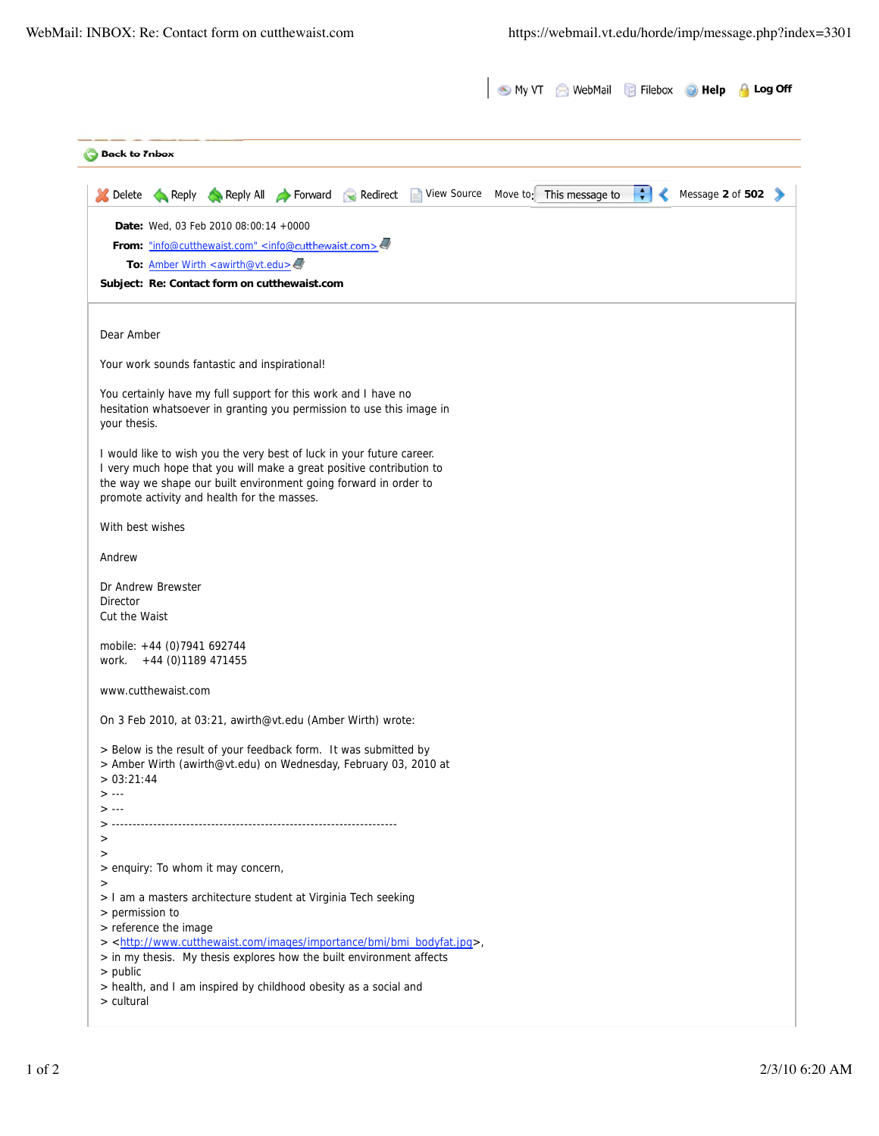|                                                                                                                                          | My VT WebMail Filebox                |   | <b>B</b> Help    | Log Off |
|------------------------------------------------------------------------------------------------------------------------------------------|--------------------------------------|---|------------------|---------|
| <b>Back to Tnbox</b>                                                                                                                     |                                      |   |                  |         |
| Reply Reply All <b>Forward</b><br>Redirect<br>Delete                                                                                     | View Source Move to: This message to | ÷ | Message 2 of 502 |         |
| Date: Wed. 03 Feb 2010 08:00:14 +0000                                                                                                    |                                      |   |                  |         |
| From: "info@cutthewaist.com" <info@cutthewaist.com></info@cutthewaist.com>                                                               |                                      |   |                  |         |
| To: Amber Wirth <awirth@vt.edu><br/>Subject: Re: Contact form on cutthewaist.com</awirth@vt.edu>                                         |                                      |   |                  |         |
|                                                                                                                                          |                                      |   |                  |         |
| Dear Amber                                                                                                                               |                                      |   |                  |         |
| Your work sounds fantastic and inspirational!                                                                                            |                                      |   |                  |         |
| You certainly have my full support for this work and I have no                                                                           |                                      |   |                  |         |
| hesitation whatsoever in granting you permission to use this image in<br>your thesis.                                                    |                                      |   |                  |         |
| I would like to wish you the very best of luck in your future career.                                                                    |                                      |   |                  |         |
| I very much hope that you will make a great positive contribution to<br>the way we shape our built environment going forward in order to |                                      |   |                  |         |
| promote activity and health for the masses.                                                                                              |                                      |   |                  |         |
| With best wishes                                                                                                                         |                                      |   |                  |         |
| Andrew                                                                                                                                   |                                      |   |                  |         |
| Dr Andrew Brewster                                                                                                                       |                                      |   |                  |         |
| <b>Director</b><br>Cut the Waist                                                                                                         |                                      |   |                  |         |
|                                                                                                                                          |                                      |   |                  |         |
| mobile: +44 (0)7941 692744<br>work. +44 (0)1189 471455                                                                                   |                                      |   |                  |         |
| www.cutthewaist.com                                                                                                                      |                                      |   |                  |         |
| On 3 Feb 2010, at 03:21, awirth@vt.edu (Amber Wirth) wrote:                                                                              |                                      |   |                  |         |
| > Below is the result of your feedback form. It was submitted by                                                                         |                                      |   |                  |         |
| > Amber Wirth (awirth@vt.edu) on Wednesday, February 03, 2010 at<br>> 03:21:44                                                           |                                      |   |                  |         |
| $> - -$                                                                                                                                  |                                      |   |                  |         |
| $> - -$                                                                                                                                  |                                      |   |                  |         |
| ><br>$\,>$                                                                                                                               |                                      |   |                  |         |
| > enquiry: To whom it may concern,                                                                                                       |                                      |   |                  |         |
| $\geq$<br>> I am a masters architecture student at Virginia Tech seeking                                                                 |                                      |   |                  |         |
| > permission to<br>> reference the image                                                                                                 |                                      |   |                  |         |
| > <http: bmi="" bmi_bodyfat.jpg="" images="" importance="" www.cutthewaist.com="">,</http:>                                              |                                      |   |                  |         |
| > in my thesis. My thesis explores how the built environment affects<br>$>$ public                                                       |                                      |   |                  |         |
| > health, and I am inspired by childhood obesity as a social and                                                                         |                                      |   |                  |         |
| > cultural                                                                                                                               |                                      |   |                  |         |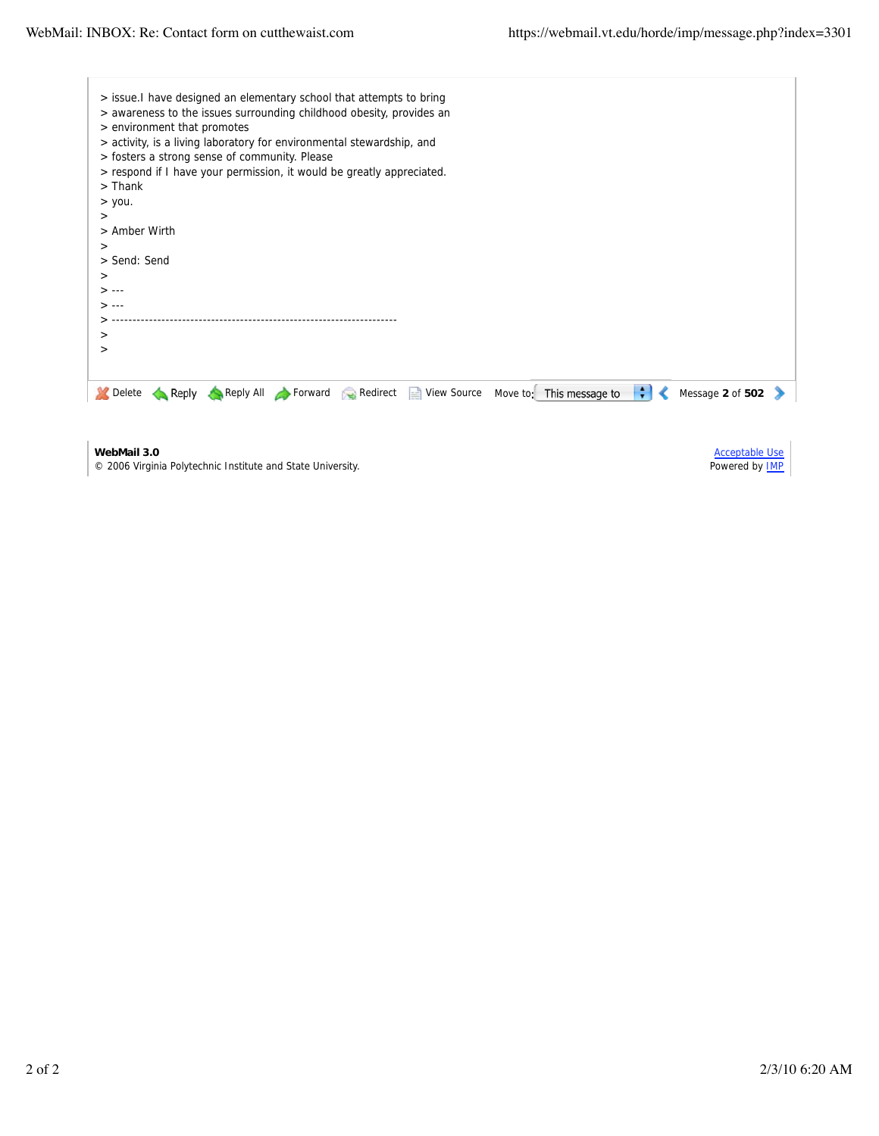| > issue. I have designed an elementary school that attempts to bring                                                 |                       |
|----------------------------------------------------------------------------------------------------------------------|-----------------------|
| > awareness to the issues surrounding childhood obesity, provides an                                                 |                       |
| > environment that promotes                                                                                          |                       |
| > activity, is a living laboratory for environmental stewardship, and                                                |                       |
| > fosters a strong sense of community. Please                                                                        |                       |
| > respond if I have your permission, it would be greatly appreciated.                                                |                       |
| $>$ Thank                                                                                                            |                       |
| $>$ you.                                                                                                             |                       |
| $\rm{>}$                                                                                                             |                       |
| > Amber Wirth                                                                                                        |                       |
| $\rm{>}$                                                                                                             |                       |
| > Send: Send                                                                                                         |                       |
| $\,>$                                                                                                                |                       |
| $> - -$                                                                                                              |                       |
| > --∙                                                                                                                |                       |
|                                                                                                                      |                       |
| $\rm{~}$                                                                                                             |                       |
| $\,>$                                                                                                                |                       |
|                                                                                                                      |                       |
| $\left  \cdot \right $<br>Reply All Forward Redirect View Source<br>Move to: This message to<br>Delete<br>Reply<br>∢ | Message 2 of 502      |
|                                                                                                                      |                       |
|                                                                                                                      |                       |
| WebMail 3.0                                                                                                          | <b>Acceptable Use</b> |
| © 2006 Virginia Polytechnic Institute and State University.                                                          | Powered by IMP        |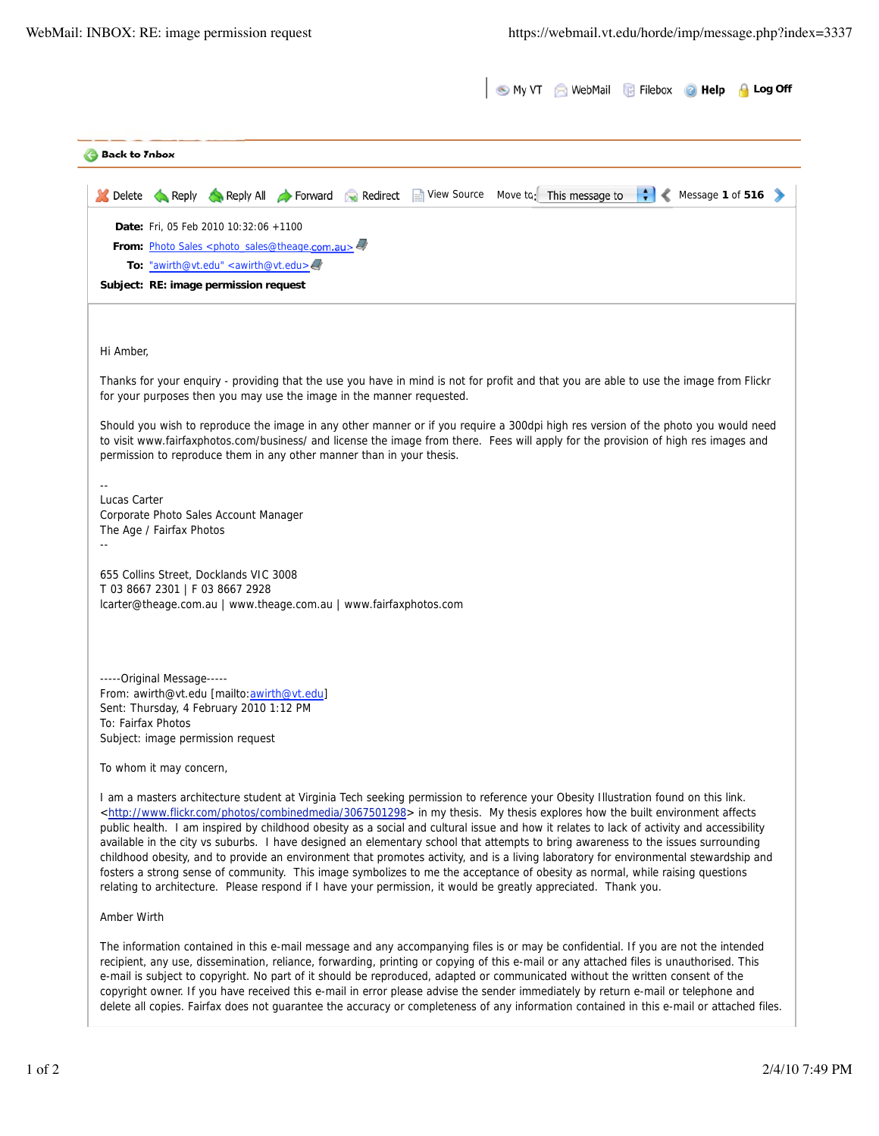|                      |                            |                                                                                                                                                                                                                           |                   |                                                                                                                                                                                                                                                                                                                                                                                                                                                                                                                                                                                                                                                                                                                                                                                                                                                                                                                                                                         | My VT WebMail Filebox | <b>B</b> Help    | <b>Log Off</b> |
|----------------------|----------------------------|---------------------------------------------------------------------------------------------------------------------------------------------------------------------------------------------------------------------------|-------------------|-------------------------------------------------------------------------------------------------------------------------------------------------------------------------------------------------------------------------------------------------------------------------------------------------------------------------------------------------------------------------------------------------------------------------------------------------------------------------------------------------------------------------------------------------------------------------------------------------------------------------------------------------------------------------------------------------------------------------------------------------------------------------------------------------------------------------------------------------------------------------------------------------------------------------------------------------------------------------|-----------------------|------------------|----------------|
| <b>Back to Thbox</b> |                            |                                                                                                                                                                                                                           |                   |                                                                                                                                                                                                                                                                                                                                                                                                                                                                                                                                                                                                                                                                                                                                                                                                                                                                                                                                                                         |                       |                  |                |
| Delete               | $\leftarrow$ Reply         |                                                                                                                                                                                                                           | Reply All Forward | Redirect View Source Move to: This message to                                                                                                                                                                                                                                                                                                                                                                                                                                                                                                                                                                                                                                                                                                                                                                                                                                                                                                                           |                       | Message 1 of 516 |                |
|                      |                            | Date: Fri, 05 Feb 2010 10:32:06 +1100<br>From: Photo Sales <photo_sales@theage.com.au><!--<br-->To: "awirth@vt.edu" <awirth@vt.edu><br/>Subject: RE: image permission request</awirth@vt.edu></photo_sales@theage.com.au> |                   |                                                                                                                                                                                                                                                                                                                                                                                                                                                                                                                                                                                                                                                                                                                                                                                                                                                                                                                                                                         |                       |                  |                |
|                      |                            |                                                                                                                                                                                                                           |                   |                                                                                                                                                                                                                                                                                                                                                                                                                                                                                                                                                                                                                                                                                                                                                                                                                                                                                                                                                                         |                       |                  |                |
| Hi Amber,            |                            |                                                                                                                                                                                                                           |                   |                                                                                                                                                                                                                                                                                                                                                                                                                                                                                                                                                                                                                                                                                                                                                                                                                                                                                                                                                                         |                       |                  |                |
|                      |                            | for your purposes then you may use the image in the manner requested.                                                                                                                                                     |                   | Thanks for your enquiry - providing that the use you have in mind is not for profit and that you are able to use the image from Flickr                                                                                                                                                                                                                                                                                                                                                                                                                                                                                                                                                                                                                                                                                                                                                                                                                                  |                       |                  |                |
|                      |                            | permission to reproduce them in any other manner than in your thesis.                                                                                                                                                     |                   | Should you wish to reproduce the image in any other manner or if you require a 300dpi high res version of the photo you would need<br>to visit www.fairfaxphotos.com/business/ and license the image from there. Fees will apply for the provision of high res images and                                                                                                                                                                                                                                                                                                                                                                                                                                                                                                                                                                                                                                                                                               |                       |                  |                |
| Lucas Carter         | The Age / Fairfax Photos   | Corporate Photo Sales Account Manager                                                                                                                                                                                     |                   |                                                                                                                                                                                                                                                                                                                                                                                                                                                                                                                                                                                                                                                                                                                                                                                                                                                                                                                                                                         |                       |                  |                |
|                      |                            | 655 Collins Street, Docklands VIC 3008<br>T 03 8667 2301   F 03 8667 2928<br>lcarter@theage.com.au   www.theage.com.au   www.fairfaxphotos.com                                                                            |                   |                                                                                                                                                                                                                                                                                                                                                                                                                                                                                                                                                                                                                                                                                                                                                                                                                                                                                                                                                                         |                       |                  |                |
| To: Fairfax Photos   | -----Original Message----- | From: awirth@vt.edu [mailto: awirth@vt.edu]<br>Sent: Thursday, 4 February 2010 1:12 PM                                                                                                                                    |                   |                                                                                                                                                                                                                                                                                                                                                                                                                                                                                                                                                                                                                                                                                                                                                                                                                                                                                                                                                                         |                       |                  |                |
|                      | To whom it may concern,    | Subject: image permission request                                                                                                                                                                                         |                   |                                                                                                                                                                                                                                                                                                                                                                                                                                                                                                                                                                                                                                                                                                                                                                                                                                                                                                                                                                         |                       |                  |                |
|                      |                            |                                                                                                                                                                                                                           |                   | I am a masters architecture student at Virginia Tech seeking permission to reference your Obesity Illustration found on this link.<br><http: 3067501298="" combinedmedia="" photos="" www.flickr.com=""> in my thesis. My thesis explores how the built environment affects<br/>public health. I am inspired by childhood obesity as a social and cultural issue and how it relates to lack of activity and accessibility<br/>available in the city vs suburbs. I have designed an elementary school that attempts to bring awareness to the issues surrounding<br/>childhood obesity, and to provide an environment that promotes activity, and is a living laboratory for environmental stewardship and<br/>fosters a strong sense of community. This image symbolizes to me the acceptance of obesity as normal, while raising questions<br/>relating to architecture. Please respond if I have your permission, it would be greatly appreciated. Thank you.</http:> |                       |                  |                |
| Amber Wirth          |                            |                                                                                                                                                                                                                           |                   |                                                                                                                                                                                                                                                                                                                                                                                                                                                                                                                                                                                                                                                                                                                                                                                                                                                                                                                                                                         |                       |                  |                |
|                      |                            |                                                                                                                                                                                                                           |                   | The information contained in this e-mail message and any accompanying files is or may be confidential. If you are not the intended<br>recipient, any use, dissemination, reliance, forwarding, printing or copying of this e-mail or any attached files is unauthorised. This<br>e-mail is subject to copyright. No part of it should be reproduced, adapted or communicated without the written consent of the<br>copyright owner. If you have received this e-mail in error please advise the sender immediately by return e-mail or telephone and<br>delete all copies. Fairfax does not guarantee the accuracy or completeness of any information contained in this e-mail or attached files.                                                                                                                                                                                                                                                                       |                       |                  |                |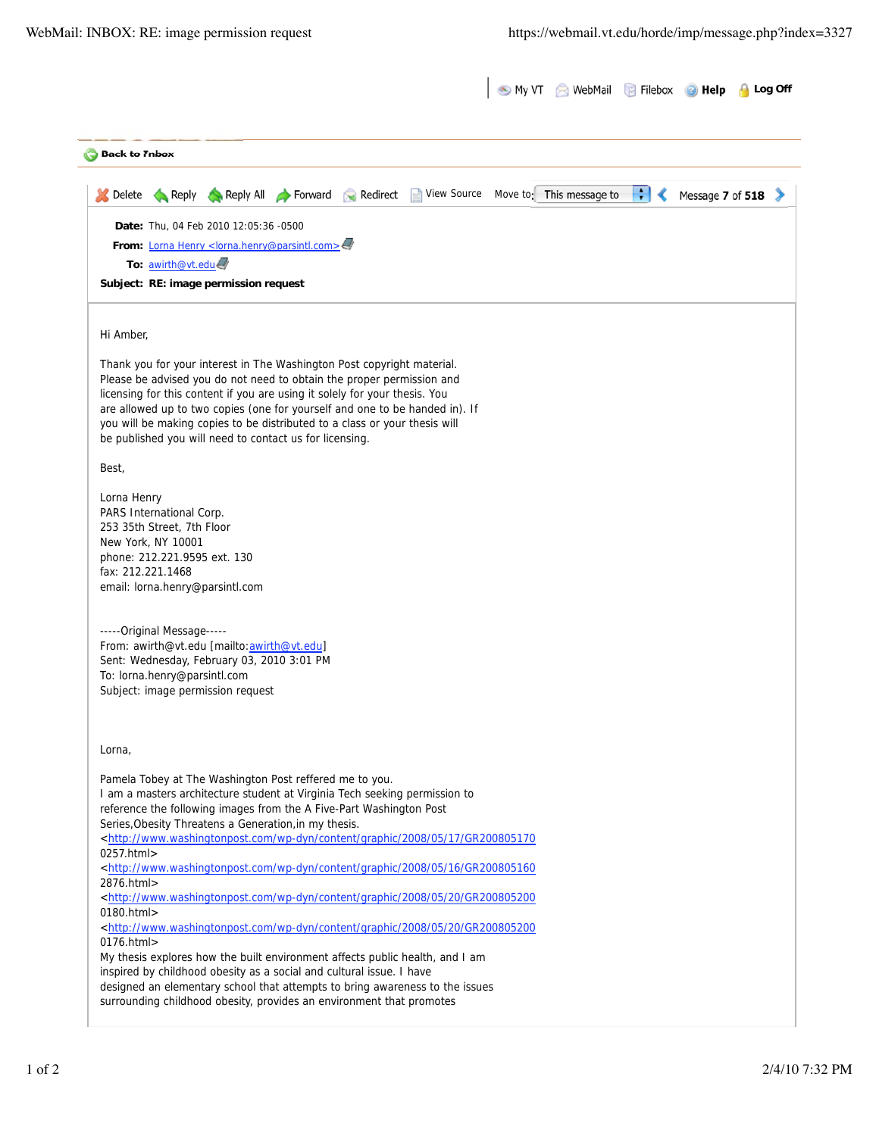